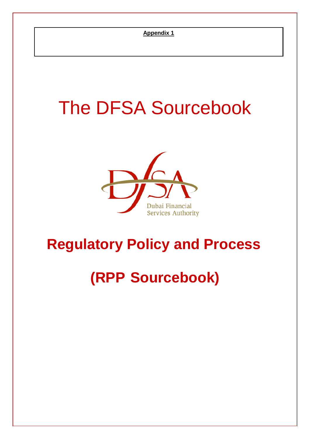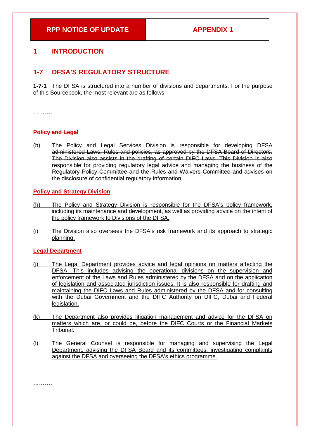## **RPP NOTICE OF UPDATE APPENDIX 1**

# **1 INTRODUCTION**

# **1-7 DFSA'S REGULATORY STRUCTURE**

**1-7-1** The DFSA is structured into a number of divisions and departments. For the purpose of this Sourcebook, the most relevant are as follows:

…………

## **Policy and Legal**

The Policy and Legal Services Division is responsible for developing DFSA administered Laws, Rules and policies, as approved by the DFSA Board of Directors. The Division also assists in the drafting of certain DIFC Laws. This Division is also responsible for providing regulatory legal advice and managing the business of the Regulatory Policy Committee and the Rules and Waivers Committee and advises on the disclosure of confidential regulatory information.

## **Policy and Strategy Division**

- (h) The Policy and Strategy Division is responsible for the DFSA's policy framework, including its maintenance and development, as well as providing advice on the intent of the policy framework to Divisions of the DFSA.
- (i) The Division also oversees the DFSA's risk framework and its approach to strategic planning.

#### **Legal Department**

- (j) The Legal Department provides advice and legal opinions on matters affecting the DFSA. This includes advising the operational divisions on the supervision and enforcement of the Laws and Rules administered by the DFSA and on the application of legislation and associated jurisdiction issues. It is also responsible for drafting and maintaining the DIFC Laws and Rules administered by the DFSA and for consulting with the Dubai Government and the DIFC Authority on DIFC, Dubai and Federal legislation.
- (k) The Department also provides litigation management and advice for the DFSA on matters which are, or could be, before the DIFC Courts or the Financial Markets Tribunal.
- (l) The General Counsel is responsible for managing and supervising the Legal Department, advising the DFSA Board and its committees, investigating complaints against the DFSA and overseeing the DFSA's ethics programme.

**……….**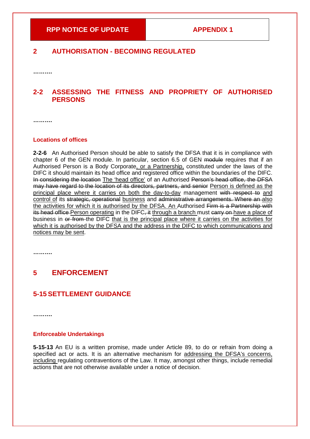# **2 AUTHORISATION - BECOMING REGULATED**

**……….**

# **2-2 ASSESSING THE FITNESS AND PROPRIETY OF AUTHORISED PERSONS**

**……….**

#### **Locations of offices**

**2-2-6** An Authorised Person should be able to satisfy the DFSA that it is in compliance with chapter 6 of the GEN module. In particular, section 6.5 of GEN module requires that if an Authorised Person is a Body Corporate, or a Partnership, constituted under the laws of the DIFC it should maintain its head office and registered office within the boundaries of the DIFC. In considering the location The 'head office' of an Authorised Person's head office, the DFSA may have regard to the location of its directors, partners, and senior Person is defined as the principal place where it carries on both the day-to-day management with respect to and control of its strategic, operational business and administrative arrangements. Where an also the activities for which it is authorised by the DFSA. An Authorised Firm is a Partnership with its head office Person operating in the DIFC, it through a branch must carry on have a place of business in or from the DIFC that is the principal place where it carries on the activities for which it is authorised by the DFSA and the address in the DIFC to which communications and notices may be sent.

**……….**

# **5 ENFORCEMENT**

# **5-15 SETTLEMENT GUIDANCE**

**……….**

### **Enforceable Undertakings**

**5-15-13** An EU is a written promise, made under Article 89, to do or refrain from doing a specified act or acts. It is an alternative mechanism for addressing the DFSA's concerns, including regulating contraventions of the Law. It may, amongst other things, include remedial actions that are not otherwise available under a notice of decision.